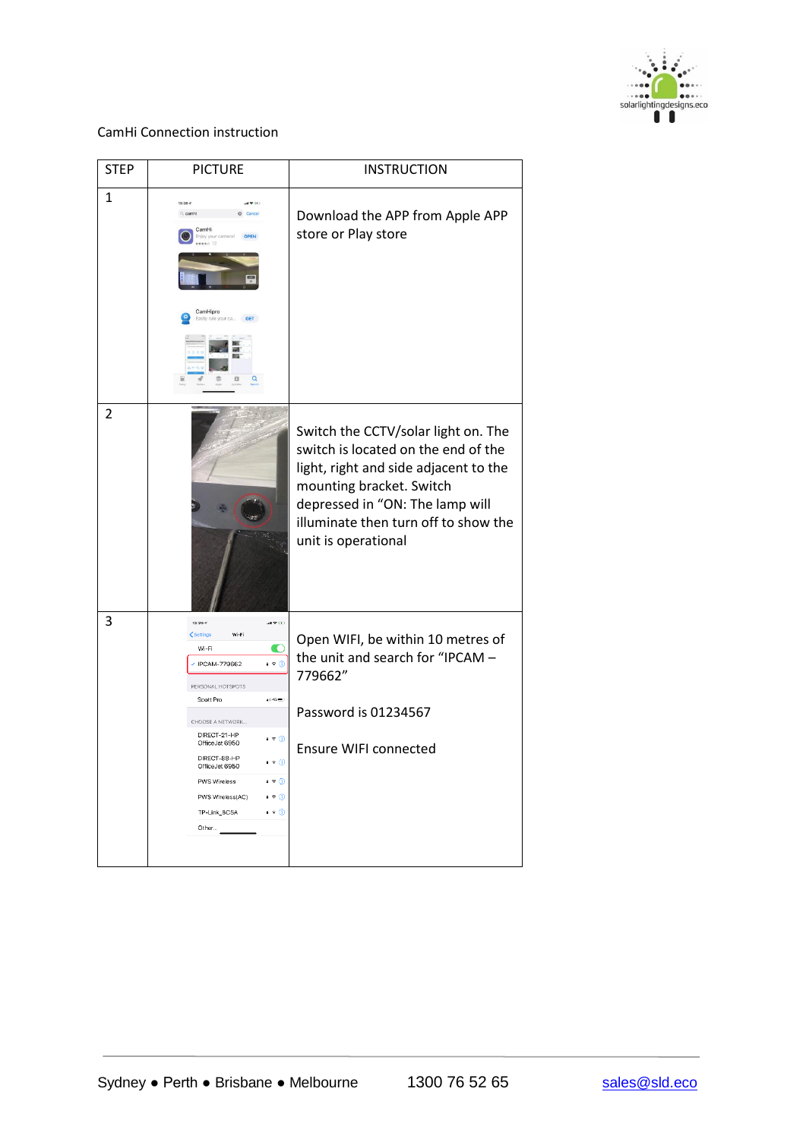

| <b>STEP</b>  | <b>PICTURE</b>                                                                                                                                                                                                                                                                                                                                                                                                                                                       | <b>INSTRUCTION</b>                                                                                                                                                                                                                                |
|--------------|----------------------------------------------------------------------------------------------------------------------------------------------------------------------------------------------------------------------------------------------------------------------------------------------------------------------------------------------------------------------------------------------------------------------------------------------------------------------|---------------------------------------------------------------------------------------------------------------------------------------------------------------------------------------------------------------------------------------------------|
| $\mathbf{1}$ | $13:28 - 7$<br>Q camhi<br>Cancel<br>CamHi<br>Enjoy your camera!<br><b>OPEN</b><br>$+0.12$<br>CamHipro<br>Easily rule your ca<br>GET                                                                                                                                                                                                                                                                                                                                  | Download the APP from Apple APP<br>store or Play store                                                                                                                                                                                            |
| 2            |                                                                                                                                                                                                                                                                                                                                                                                                                                                                      | Switch the CCTV/solar light on. The<br>switch is located on the end of the<br>light, right and side adjacent to the<br>mounting bracket. Switch<br>depressed in "ON: The lamp will<br>illuminate then turn off to show the<br>unit is operational |
| 3            | $13:29 - 7$<br>証金(円)<br>Wi-Fi<br><b>くSettings</b><br>Wi-Fi<br>O<br>$\cdot$ + $\circ$<br>IPCAM-779662<br>PERSONAL HOTSPOTS<br>Scott Pro<br>$-140 =$<br>CHOOSE A NETWORK<br>DIRECT-21-HP<br>$\bullet \bullet$ (i)<br>OfficeJet 6950<br>DIRECT-88-HP<br>$\bullet$ $\circ$ $\circ$<br>OfficeJet 6950<br>$\bullet \bullet 0$<br><b>PWS Wireless</b><br>PWS Wireless(AC)<br>$\bullet \bullet \circledcirc$<br>TP-Link_8C5A<br>$\bullet$ $\hat{ }$ $\circ$ $\circ$<br>Other | Open WIFI, be within 10 metres of<br>the unit and search for "IPCAM -<br>779662"<br>Password is 01234567<br><b>Ensure WIFI connected</b>                                                                                                          |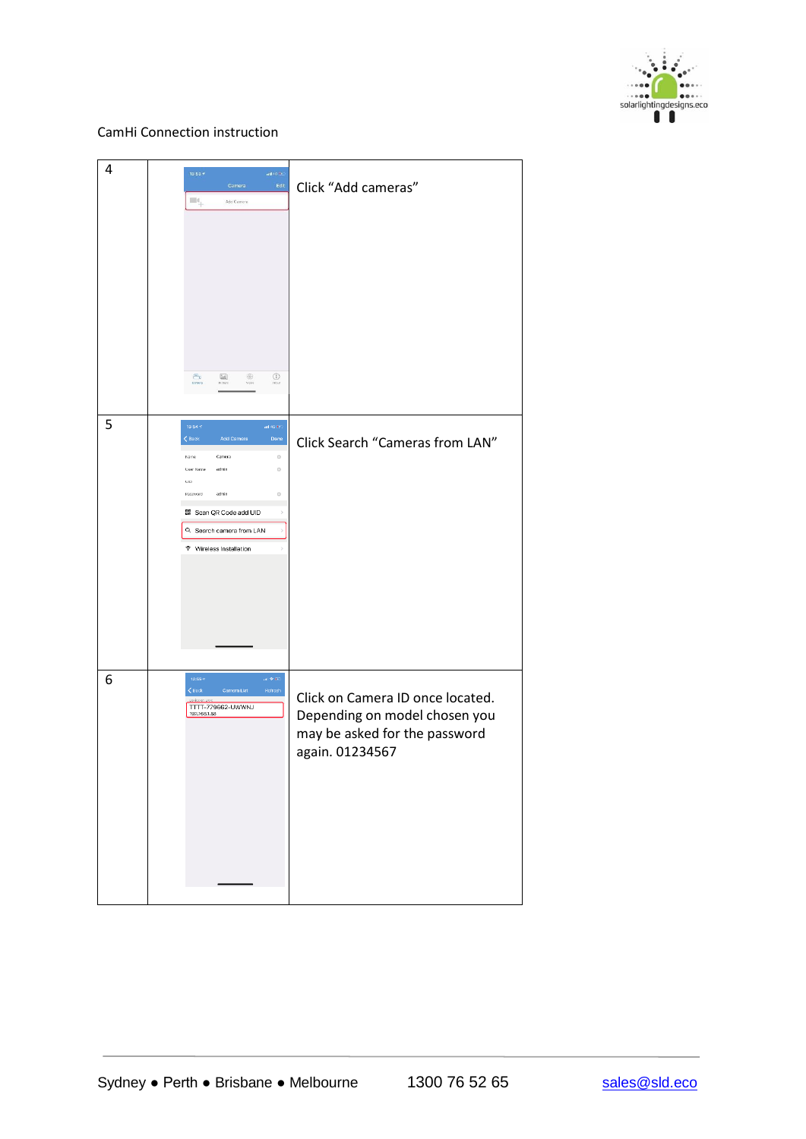

| 4 | $13:53 +$<br>ail 40 $\pm$<br>Edit<br>Camera<br>$\blacksquare$<br>Add Camers<br>$\circledR$<br>$\bigcirc$<br>$\bigoplus_{\text{Gauss}}$<br>Voro                                                                                                                                                    | Click "Add cameras"                                                                                                   |
|---|---------------------------------------------------------------------------------------------------------------------------------------------------------------------------------------------------------------------------------------------------------------------------------------------------|-----------------------------------------------------------------------------------------------------------------------|
| 5 | $13:54\,\%$<br>ail 40 $0^{\circ}$<br>$\langle$ Back<br>Add Camera<br>Done<br>Name<br>Camera<br>$_{\odot}$<br>admin<br>0<br>User Name<br>$\sqcup$ 1D<br>admin<br>$\odot$<br>Password<br>BR Scan QR Code add UID<br>$\,$<br>Q. Search camera from LAN<br>$\,$<br><sup>®</sup> Wireless Installation | Click Search "Cameras from LAN"                                                                                       |
| 6 | $13:55 *$<br>$\alpha \otimes \alpha$<br>$\leq$ Back<br>Camera List<br>Refresh<br>TTTT-779662-UWWNJ<br>192.168.1.88                                                                                                                                                                                | Click on Camera ID once located.<br>Depending on model chosen you<br>may be asked for the password<br>again. 01234567 |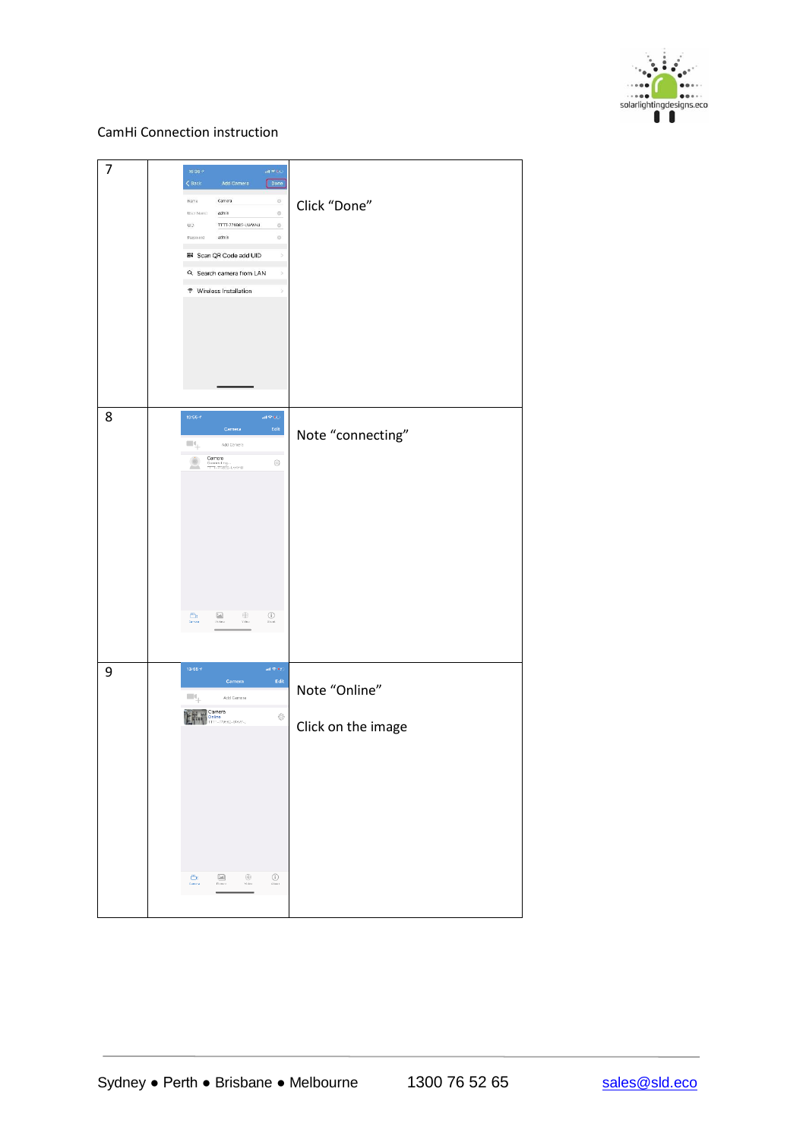

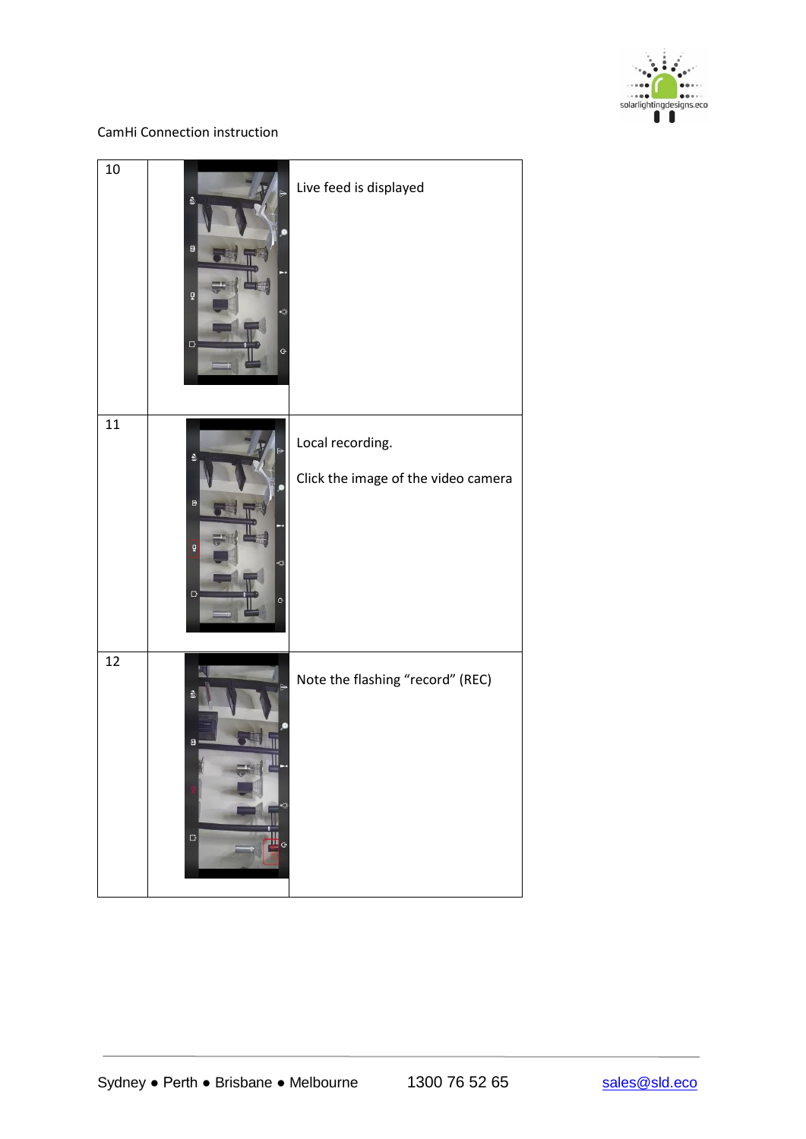

| 10 | 叠<br>$\blacksquare$<br>õ<br>$\Box$<br>Ĝ       | Live feed is displayed                                  |
|----|-----------------------------------------------|---------------------------------------------------------|
| 11 | 췰<br>$\blacksquare$<br>õ<br>$\Box$<br>G       | Local recording.<br>Click the image of the video camera |
| 12 | $\hbox{D}$<br>Ö<br>$\Box$<br>Ø)<br>$\ddot{G}$ | Note the flashing "record" (REC)                        |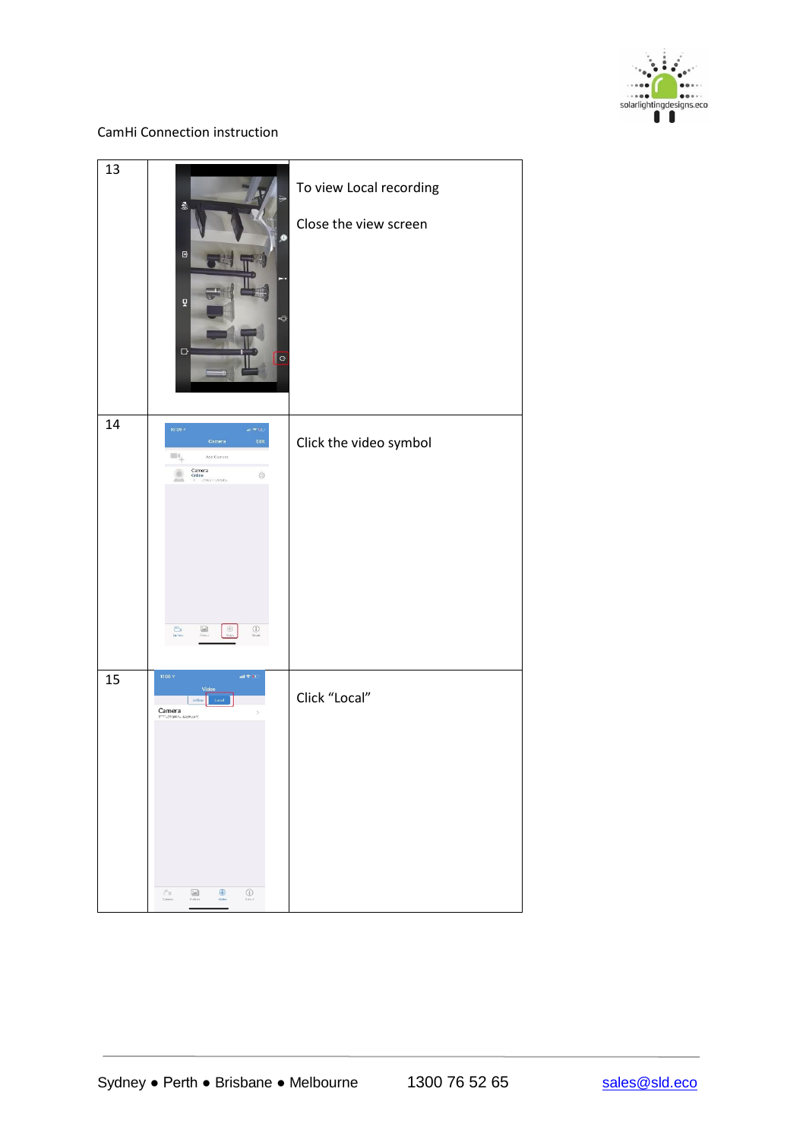

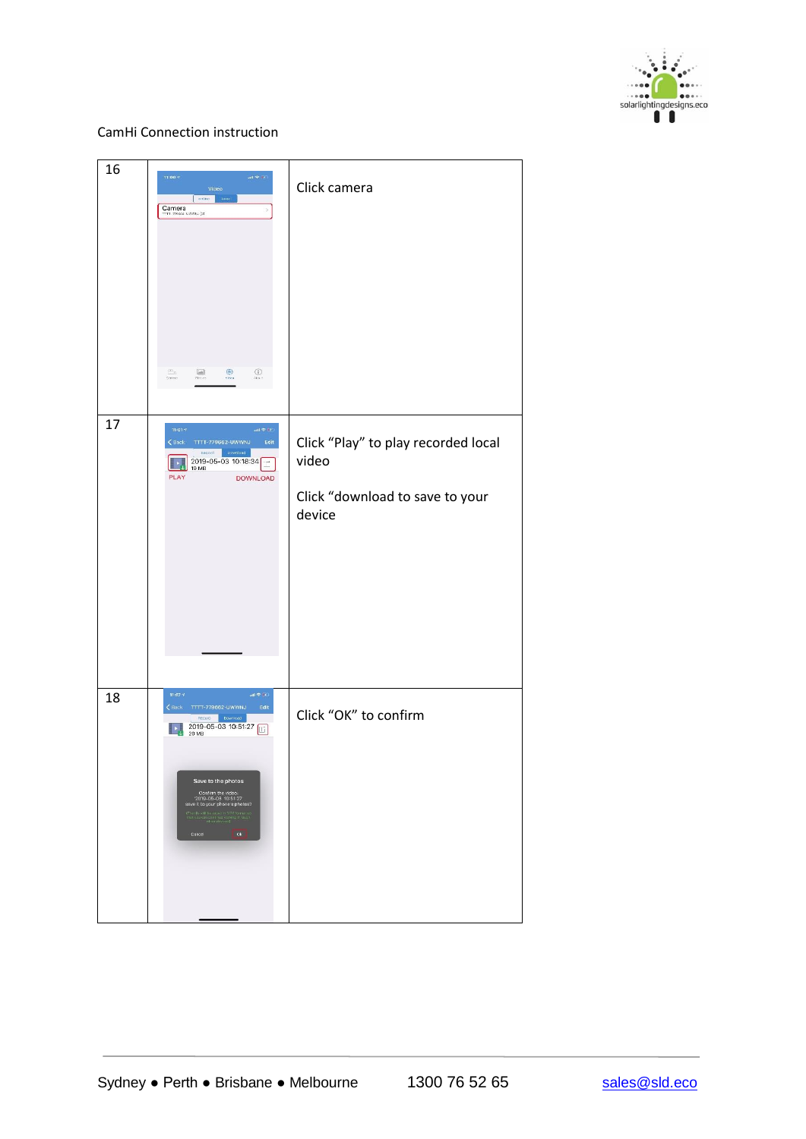

| 16 | $11:00 \leq$<br>$\mathop{\rm ad}\nolimits \otimes \mathop{\rm gr}\nolimits$<br>Video<br>online Loss<br>Camera<br>TTT 79002 LOVAL (2)<br>$\bigoplus_{\Delta\in\mathfrak{g}_\Lambda}$<br>$\frac{\mu n}{\omega_{\text{eff}}}$<br>$\frac{\left\lceil \frac{r-1}{2} \right\rceil}{p(r-r)}$<br>$\circledast$                                                                                                                                                                                                                                                                                                                                                                                                                                                                                                                                       | Click camera                                                                              |
|----|----------------------------------------------------------------------------------------------------------------------------------------------------------------------------------------------------------------------------------------------------------------------------------------------------------------------------------------------------------------------------------------------------------------------------------------------------------------------------------------------------------------------------------------------------------------------------------------------------------------------------------------------------------------------------------------------------------------------------------------------------------------------------------------------------------------------------------------------|-------------------------------------------------------------------------------------------|
| 17 | 11:01 $-7$<br>$\sin \Phi$ (i):<br>$\zeta$ Back<br>TTTT-779662-UWWNJ<br>Edit<br>Download<br>Record<br>2019-05-03 10:18:34<br>H<br>19 MB<br>PLAY<br><b>DOWNLOAD</b>                                                                                                                                                                                                                                                                                                                                                                                                                                                                                                                                                                                                                                                                            | Click "Play" to play recorded local<br>video<br>Click "download to save to your<br>device |
| 18 | 11:07 $\vec{q}$<br>$\sin\varphi\ll 1$<br>$\langle$ Back<br>TTTT-779662-UWWNJ<br>$\operatorname{\mathsf{Edit}}$<br>Record Download<br>2019-05-03 10:51:27<br>20 MB<br>囮<br>Save to the photos<br>Confirm the video:<br>2019-05-03 10:51:27<br>save it to your phone's photos?<br>$\begin{array}{l} \text{if } \forall \text{ if } \text{if } \text{all } \text{if } \text{if } \text{all } \text{if } \text{all } \text{if } \text{all } \text{if } \text{all } \text{if } \text{all } \text{if } \text{all } \text{if } \text{all } \text{if } \text{all } \text{if } \text{all } \text{if } \text{all } \text{if } \text{all } \text{if } \text{all } \text{if } \text{all } \text{if } \text{all } \text{if } \text{all } \text{if } \text{all } \text{if } \text{all } \text{if } \text{all } \text{if } \$<br>$\frac{1}{2}$ ok<br>Cancel | Click "OK" to confirm                                                                     |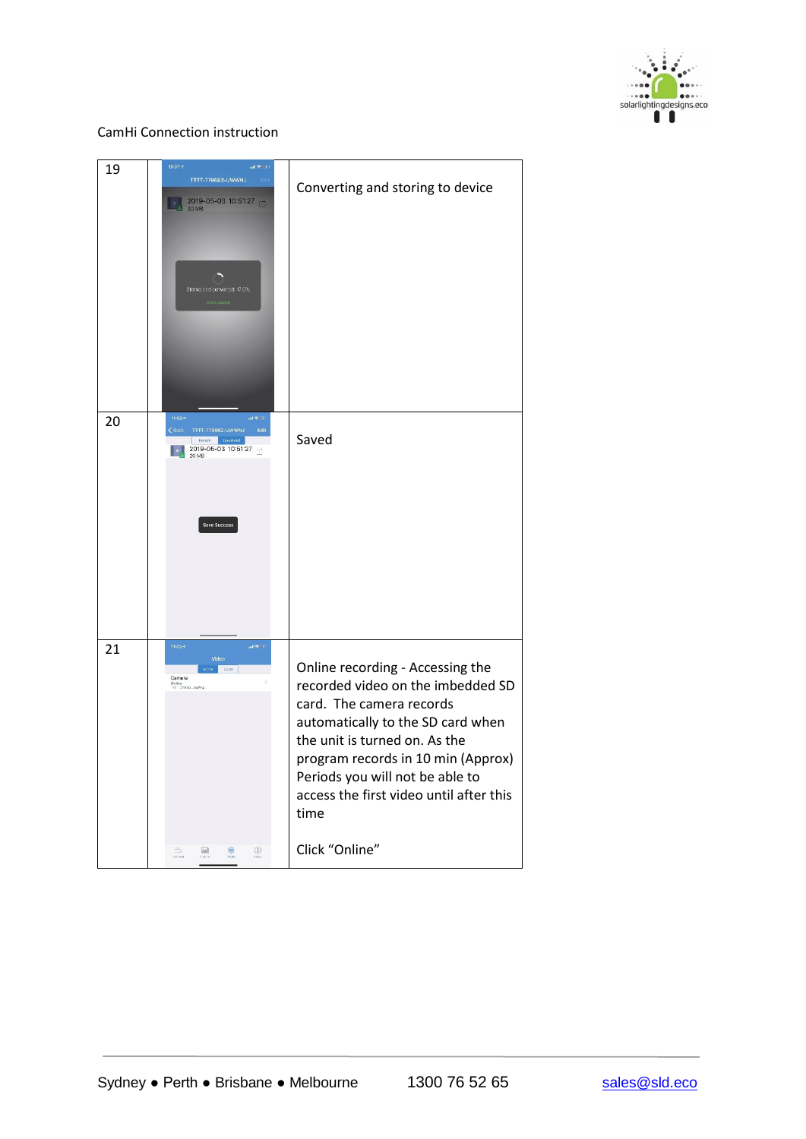

| 19 | 11:07.7<br>$all \otimes  + $<br>TTTT-779662-UWWNJ<br>Edit<br>2019-05-03 10:51:27<br>D.<br><b>20 MB</b><br>Stored and converted: 17.0%<br>(Click cancel)                                                                                                                                                                                                                                                                                                          | Converting and storing to device                                                                                                                                                                                                                                                                                      |
|----|------------------------------------------------------------------------------------------------------------------------------------------------------------------------------------------------------------------------------------------------------------------------------------------------------------------------------------------------------------------------------------------------------------------------------------------------------------------|-----------------------------------------------------------------------------------------------------------------------------------------------------------------------------------------------------------------------------------------------------------------------------------------------------------------------|
| 20 | 11:09 4<br>$\ln \Phi$<br>$\zeta$ Back TTTT-779662-UWWNJ<br>Edit<br>Record Download<br>2019-05-03 10:51:27<br><b>Save Success</b>                                                                                                                                                                                                                                                                                                                                 | Saved                                                                                                                                                                                                                                                                                                                 |
| 21 | $11:03*$<br>$\alpha\in\mathbb{R}^n$<br>Video<br>onite Local<br>Camera<br>Online<br>TT - 77882 - Jews<br>$\odot$<br>$\begin{picture}(20,20) \put(0,0){\line(1,0){0.5}} \put(15,0){\line(1,0){0.5}} \put(15,0){\line(1,0){0.5}} \put(15,0){\line(1,0){0.5}} \put(15,0){\line(1,0){0.5}} \put(15,0){\line(1,0){0.5}} \put(15,0){\line(1,0){0.5}} \put(15,0){\line(1,0){0.5}} \put(15,0){\line(1,0){0.5}} \put(15,0){\line(1,0){0.5}} \put(15,0){\line(1,0){0.5}} \$ | Online recording - Accessing the<br>recorded video on the imbedded SD<br>card. The camera records<br>automatically to the SD card when<br>the unit is turned on. As the<br>program records in 10 min (Approx)<br>Periods you will not be able to<br>access the first video until after this<br>time<br>Click "Online" |
|    | Ê.<br>$60$                                                                                                                                                                                                                                                                                                                                                                                                                                                       |                                                                                                                                                                                                                                                                                                                       |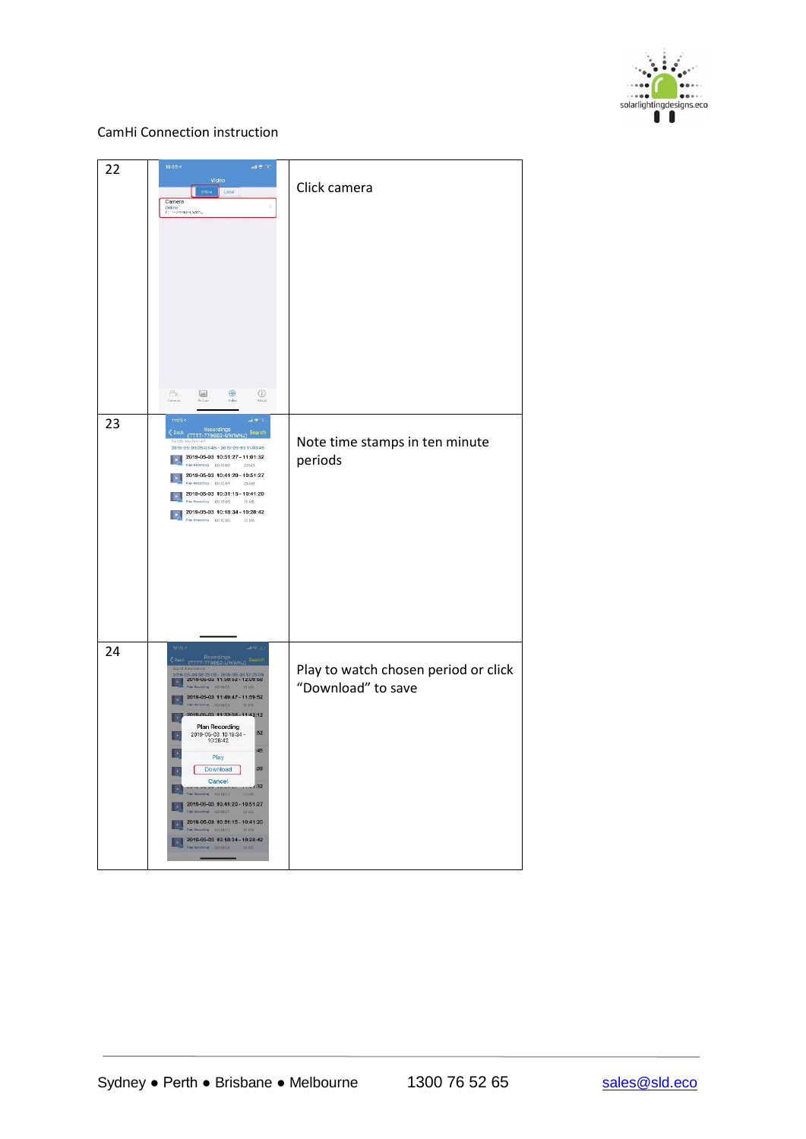

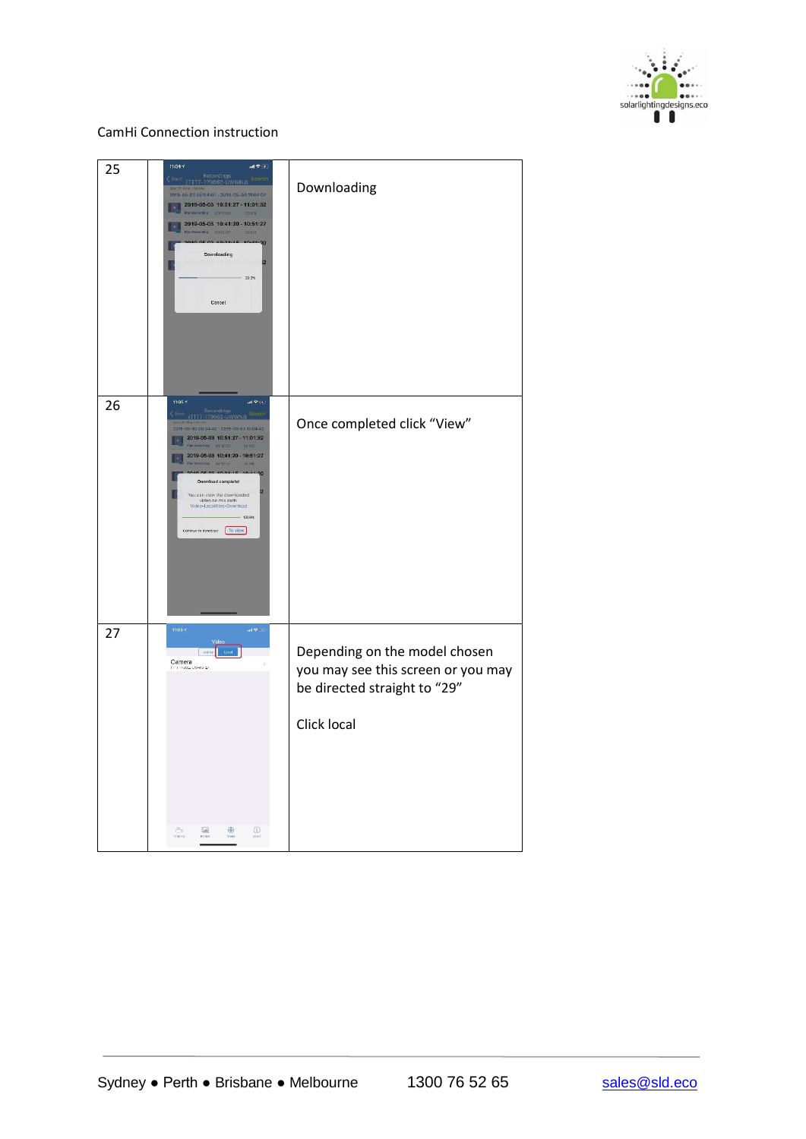

| 25 | $11:04 \pi$<br>副帝王<br>Recordings<br>(TTTT-779662-UWWNJ) Search<br>2019-05-03 05:04:07 - 2019-05-03 11:04:07<br>2019-05-03 10:51:27 - 11:01:32<br>ll»<br>Recording 00/10:05 201/8<br>2019-05-03 10:41:20 - 10:51:27<br>Nan Reserving 00:10:07 25 MB<br>02.40.24.4<br>30<br>Downloading<br>$\overline{2}$<br>29.3%<br>Cancel                                                                                                                                           | Downloading                                                                                                        |
|----|----------------------------------------------------------------------------------------------------------------------------------------------------------------------------------------------------------------------------------------------------------------------------------------------------------------------------------------------------------------------------------------------------------------------------------------------------------------------|--------------------------------------------------------------------------------------------------------------------|
| 26 | 11:05.7<br>m(96)<br>Recordings<br>(TTTT-779662-UWWNJ) Search<br>C Back<br>2019-05-03 05:04:42 - 2019-05-03 11:04:42<br>2019-05-03 10:51:27 - 11:01:32<br>oriling 00:10:05 20.MS<br>2019-05-03 10:41:20 - 10:51:27<br>$-50.0030 \times 10^{10}$<br>25 MB<br>05020000000<br><b>Contract Contract Contract</b><br>o<br>Download complete!<br>You can view the downloaded<br>video on this path:<br>Video-LocalFiles-Download<br>100.0%<br>Continue to devided [ To view | Once completed click "View"                                                                                        |
| 27 | $11:00*$<br>$\alpha\in\mathcal{P}$ in<br>contine Local<br>Camera<br>1-278812-LWWAD (2)<br>$\bigoplus_{\forall s\in\Theta}$<br>$_{\odot}$<br>ð.                                                                                                                                                                                                                                                                                                                       | Depending on the model chosen<br>you may see this screen or you may<br>be directed straight to "29"<br>Click local |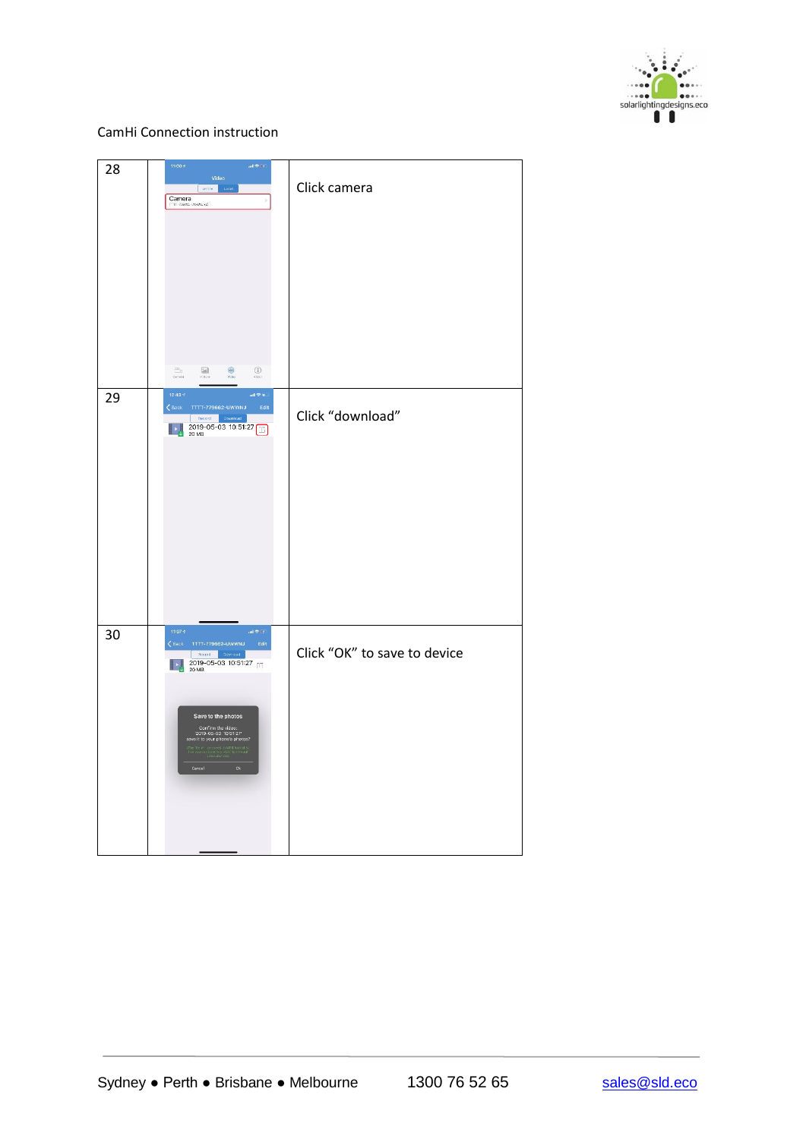

| 28 | 11:00 $\gamma$<br>$\sin\Phi$ in<br>Video<br>onite.<br>Local<br>Camera<br>TTF-79911-UWWAYZ<br>$\frac{\rho \alpha}{\omega_{max}}$<br>$\circledcirc$<br>$\frac{\left\vert \mathcal{M}_{\mathbf{0}}\right\vert }{\mathcal{M}_{\mathbf{0}}\left( \mathcal{M}\right) }$<br>$\bigoplus_{i=1}^n$                                                                                                                                                   | Click camera                 |
|----|--------------------------------------------------------------------------------------------------------------------------------------------------------------------------------------------------------------------------------------------------------------------------------------------------------------------------------------------------------------------------------------------------------------------------------------------|------------------------------|
| 29 | 12:43 <sup>2</sup><br>$\sin\Phi$ in<br>$\zeta$ Back TTTT-779662-UWWNJ<br>Edit<br>Record Download<br>2019-05-03 10:51:27                                                                                                                                                                                                                                                                                                                    | Click "download"             |
| 30 | $11:07$ $\leq$<br>$\sin\Phi$ 0)<br><back tttt-779662-uwwnj<br="">Edit<br/>Rocord Downsail<br/>2019-05-03 10:51:27<br/><math display="inline">\left\  \cdot \right\  _{\downarrow}</math><br/>Save to the photos<br/>Confirm the video:<br/>2019-05-03 10:51:27<br/>save it to your phone's photos?<br/>n MP4 format et<br/>Hex he friedal<br/>rithe life w.<br/>That you can<br/><math display="inline">_{\rm Ok}</math><br/>Cancel</back> | Click "OK" to save to device |

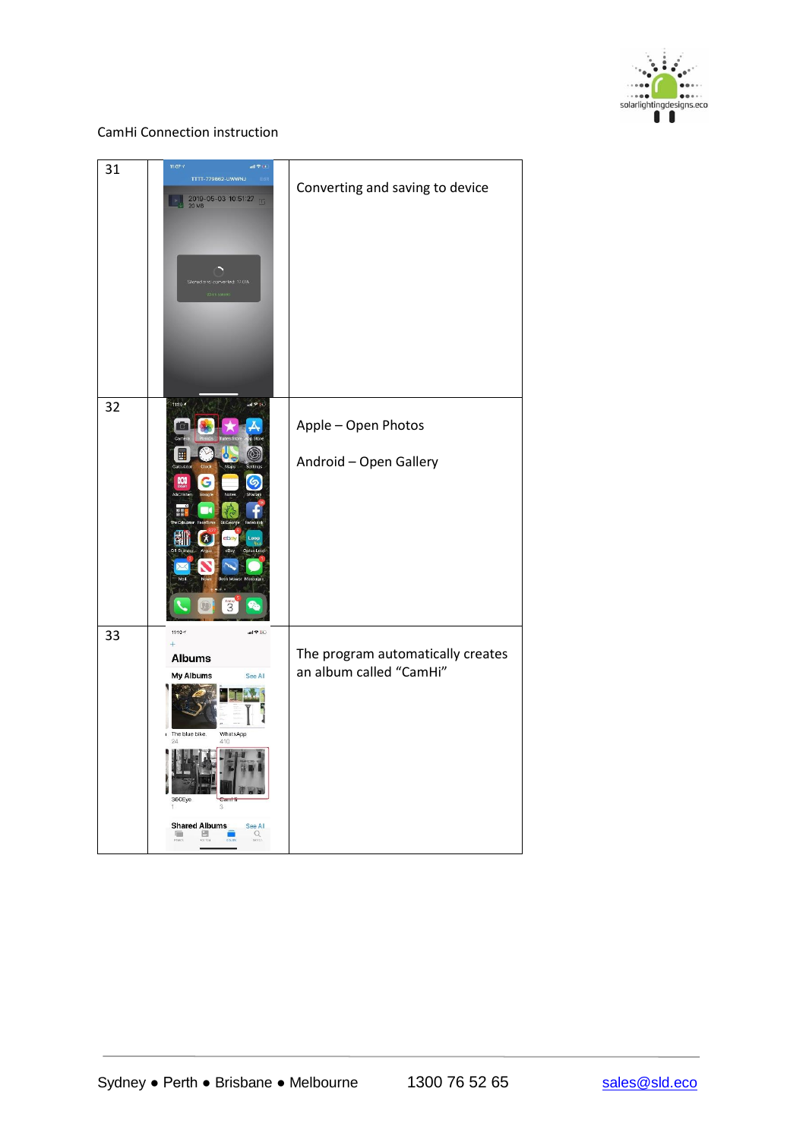

| 31 | $11:07 \frac{1}{3}$<br>TTTT-779662-UWWNJ<br>Edit<br>2019-05-03 10:51:27<br>Stored and converted: 17.0%                                                             | Converting and saving to device                              |
|----|--------------------------------------------------------------------------------------------------------------------------------------------------------------------|--------------------------------------------------------------|
| 32 | 11:10 +<br>dl 学 Ko<br>σ<br><b>DOI</b><br>6<br>$\boldsymbol{\alpha}$<br>$\overline{a}$<br>$\overline{\mathbf{3}}$                                                   | Apple - Open Photos<br>Android - Open Gallery                |
| 33 | $11:10 =$<br>al V lia<br>$\ddot{}$<br><b>Albums</b><br>My Albums<br>See All<br>WhatsApp<br>The blue bike.<br>410<br>360Eye<br><b>Shared Albums</b><br>See All<br>Q | The program automatically creates<br>an album called "CamHi" |